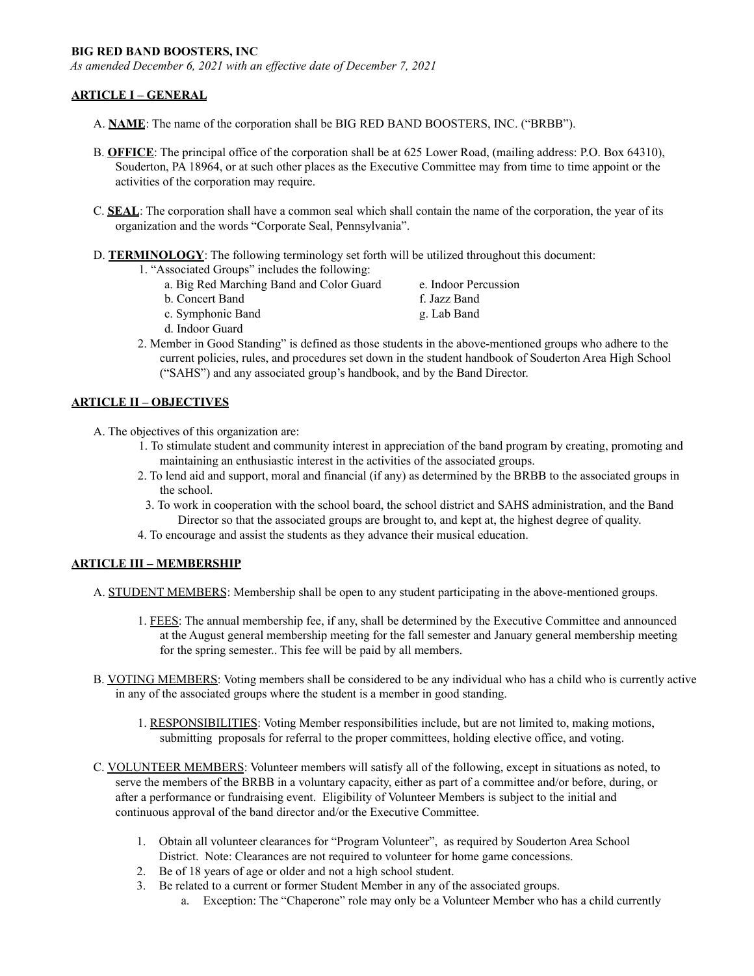#### **BIG RED BAND BOOSTERS, INC**

*As amended December 6, 2021 with an ef ective date of December 7, 2021*

### **ARTICLE I – GENERAL**

- A. **NAME**: The name of the corporation shall be BIG RED BAND BOOSTERS, INC. ("BRBB").
- B. **OFFICE**: The principal office of the corporation shall be at 625 Lower Road, (mailing address: P.O. Box 64310), Souderton, PA 18964, or at such other places as the Executive Committee may from time to time appoint or the activities of the corporation may require.
- C. **SEAL**: The corporation shall have a common seal which shall contain the name of the corporation, the year of its organization and the words "Corporate Seal, Pennsylvania".
- D. **TERMINOLOGY**: The following terminology set forth will be utilized throughout this document:

1. "Associated Groups" includes the following:

| a. Big Red Marching Band and Color Guard | e. Indoor Percussion |
|------------------------------------------|----------------------|
| b. Concert Band                          | f. Jazz Band         |
| c. Symphonic Band                        | g. Lab Band          |
| .                                        |                      |

- d. Indoor Guard
- 2. Member in Good Standing" is defined as those students in the above-mentioned groups who adhere to the current policies, rules, and procedures set down in the student handbook of Souderton Area High School ("SAHS") and any associated group's handbook, and by the Band Director.

## **ARTICLE II – OBJECTIVES**

A. The objectives of this organization are:

- 1. To stimulate student and community interest in appreciation of the band program by creating, promoting and maintaining an enthusiastic interest in the activities of the associated groups.
- 2. To lend aid and support, moral and financial (if any) as determined by the BRBB to the associated groups in the school.
- 3. To work in cooperation with the school board, the school district and SAHS administration, and the Band Director so that the associated groups are brought to, and kept at, the highest degree of quality.
- 4. To encourage and assist the students as they advance their musical education.

### **ARTICLE III – MEMBERSHIP**

- A. STUDENT MEMBERS: Membership shall be open to any student participating in the above-mentioned groups.
	- 1. FEES: The annual membership fee, if any, shall be determined by the Executive Committee and announced at the August general membership meeting for the fall semester and January general membership meeting for the spring semester.. This fee will be paid by all members.
- B. VOTING MEMBERS: Voting members shall be considered to be any individual who has a child who is currently active in any of the associated groups where the student is a member in good standing.
	- 1. RESPONSIBILITIES: Voting Member responsibilities include, but are not limited to, making motions, submitting proposals for referral to the proper committees, holding elective office, and voting.
- C. VOLUNTEER MEMBERS: Volunteer members will satisfy all of the following, except in situations as noted, to serve the members of the BRBB in a voluntary capacity, either as part of a committee and/or before, during, or after a performance or fundraising event. Eligibility of Volunteer Members is subject to the initial and continuous approval of the band director and/or the Executive Committee.
	- 1. Obtain all volunteer clearances for "Program Volunteer", as required by Souderton Area School District. Note: Clearances are not required to volunteer for home game concessions.
	- 2. Be of 18 years of age or older and not a high school student.
	- 3. Be related to a current or former Student Member in any of the associated groups.
		- a. Exception: The "Chaperone" role may only be a Volunteer Member who has a child currently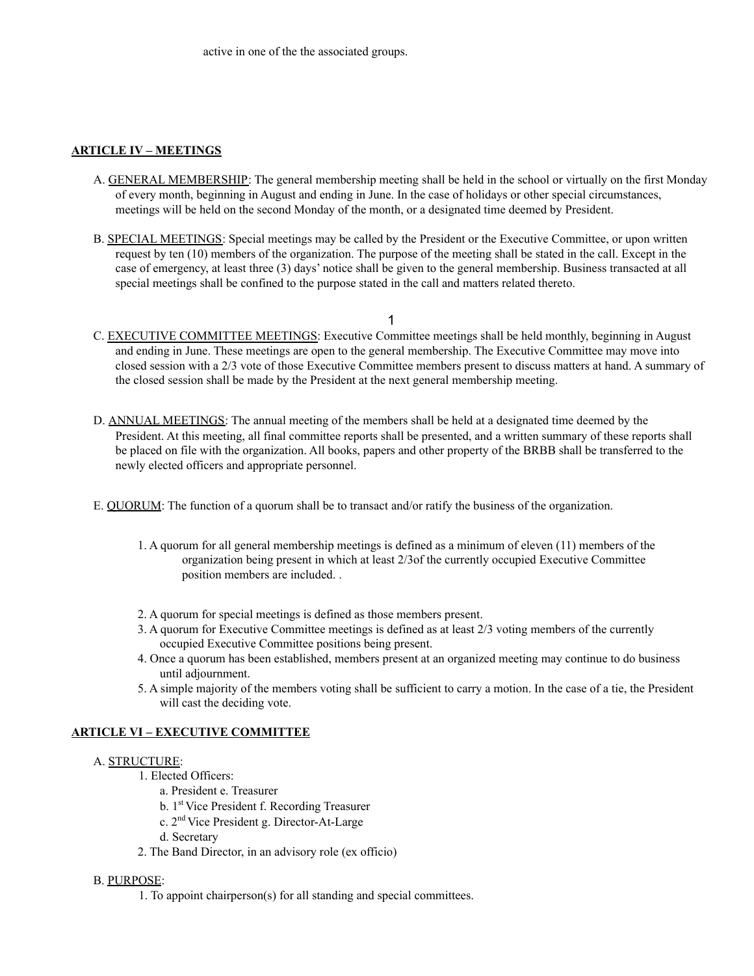## **ARTICLE IV – MEETINGS**

- A. GENERAL MEMBERSHIP: The general membership meeting shall be held in the school or virtually on the first Monday of every month, beginning in August and ending in June. In the case of holidays or other special circumstances, meetings will be held on the second Monday of the month, or a designated time deemed by President.
- B. SPECIAL MEETINGS: Special meetings may be called by the President or the Executive Committee, or upon written request by ten (10) members of the organization. The purpose of the meeting shall be stated in the call. Except in the case of emergency, at least three (3) days' notice shall be given to the general membership. Business transacted at all special meetings shall be confined to the purpose stated in the call and matters related thereto.

1

- C. EXECUTIVE COMMITTEE MEETINGS: Executive Committee meetings shall be held monthly, beginning in August and ending in June. These meetings are open to the general membership. The Executive Committee may move into closed session with a 2/3 vote of those Executive Committee members present to discuss matters at hand. A summary of the closed session shall be made by the President at the next general membership meeting.
- D. ANNUAL MEETINGS: The annual meeting of the members shall be held at a designated time deemed by the President. At this meeting, all final committee reports shall be presented, and a written summary of these reports shall be placed on file with the organization. All books, papers and other property of the BRBB shall be transferred to the newly elected officers and appropriate personnel.
- E. QUORUM: The function of a quorum shall be to transact and/or ratify the business of the organization.
	- 1. A quorum for all general membership meetings is defined as a minimum of eleven (11) members of the organization being present in which at least 2/3of the currently occupied Executive Committee position members are included. .
	- 2. A quorum for special meetings is defined as those members present.
	- 3. A quorum for Executive Committee meetings is defined as at least 2/3 voting members of the currently occupied Executive Committee positions being present.
	- 4. Once a quorum has been established, members present at an organized meeting may continue to do business until adjournment.
	- 5. A simple majority of the members voting shall be sufficient to carry a motion. In the case of a tie, the President will cast the deciding vote.

### **ARTICLE VI – EXECUTIVE COMMITTEE**

### A. STRUCTURE:

- 1. Elected Officers:
	- a. President e. Treasurer
	- b. 1 st Vice President f. Recording Treasurer
	- c. 2 nd Vice President g. Director-At-Large
	- d. Secretary
- 2. The Band Director, in an advisory role (ex officio)

### B. PURPOSE:

1. To appoint chairperson(s) for all standing and special committees.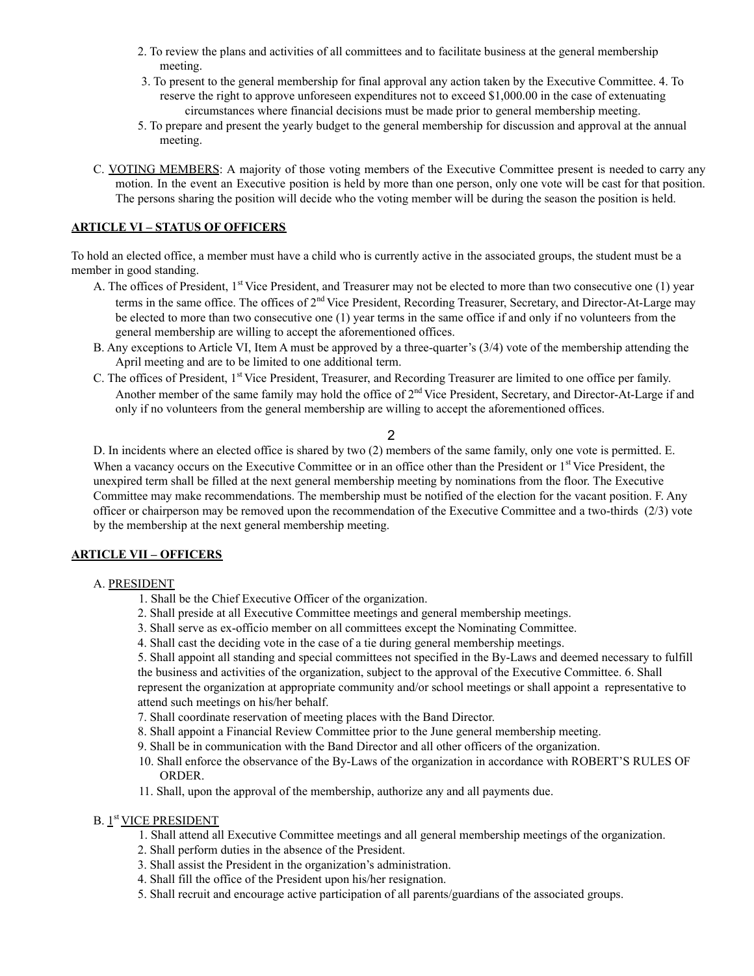- 2. To review the plans and activities of all committees and to facilitate business at the general membership meeting.
- 3. To present to the general membership for final approval any action taken by the Executive Committee. 4. To reserve the right to approve unforeseen expenditures not to exceed \$1,000.00 in the case of extenuating circumstances where financial decisions must be made prior to general membership meeting.
- 5. To prepare and present the yearly budget to the general membership for discussion and approval at the annual meeting.
- C. VOTING MEMBERS: A majority of those voting members of the Executive Committee present is needed to carry any motion. In the event an Executive position is held by more than one person, only one vote will be cast for that position. The persons sharing the position will decide who the voting member will be during the season the position is held.

## **ARTICLE VI – STATUS OF OFFICERS**

To hold an elected office, a member must have a child who is currently active in the associated groups, the student must be a member in good standing.

- A. The offices of President, 1<sup>st</sup> Vice President, and Treasurer may not be elected to more than two consecutive one (1) year terms in the same office. The offices of 2<sup>nd</sup> Vice President, Recording Treasurer, Secretary, and Director-At-Large may be elected to more than two consecutive one (1) year terms in the same office if and only if no volunteers from the general membership are willing to accept the aforementioned offices.
- B. Any exceptions to Article VI, Item A must be approved by a three-quarter's (3/4) vote of the membership attending the April meeting and are to be limited to one additional term.
- C. The offices of President, 1<sup>st</sup> Vice President, Treasurer, and Recording Treasurer are limited to one office per family. Another member of the same family may hold the office of 2<sup>nd</sup> Vice President, Secretary, and Director-At-Large if and only if no volunteers from the general membership are willing to accept the aforementioned offices.

# 2

D. In incidents where an elected office is shared by two (2) members of the same family, only one vote is permitted. E. When a vacancy occurs on the Executive Committee or in an office other than the President or 1<sup>st</sup> Vice President, the unexpired term shall be filled at the next general membership meeting by nominations from the floor. The Executive Committee may make recommendations. The membership must be notified of the election for the vacant position. F. Any officer or chairperson may be removed upon the recommendation of the Executive Committee and a two-thirds (2/3) vote by the membership at the next general membership meeting.

### **ARTICLE VII – OFFICERS**

### A. PRESIDENT

- 1. Shall be the Chief Executive Officer of the organization.
- 2. Shall preside at all Executive Committee meetings and general membership meetings.
- 3. Shall serve as ex-officio member on all committees except the Nominating Committee.
- 4. Shall cast the deciding vote in the case of a tie during general membership meetings.

5. Shall appoint all standing and special committees not specified in the By-Laws and deemed necessary to fulfill the business and activities of the organization, subject to the approval of the Executive Committee. 6. Shall represent the organization at appropriate community and/or school meetings or shall appoint a representative to attend such meetings on his/her behalf.

- 7. Shall coordinate reservation of meeting places with the Band Director.
- 8. Shall appoint a Financial Review Committee prior to the June general membership meeting.
- 9. Shall be in communication with the Band Director and all other officers of the organization.
- 10. Shall enforce the observance of the By-Laws of the organization in accordance with ROBERT'S RULES OF ORDER.
- 11. Shall, upon the approval of the membership, authorize any and all payments due.

### B. 1<sup>st</sup> VICE PRESIDENT

- 1. Shall attend all Executive Committee meetings and all general membership meetings of the organization.
- 2. Shall perform duties in the absence of the President.
- 3. Shall assist the President in the organization's administration.
- 4. Shall fill the office of the President upon his/her resignation.
- 5. Shall recruit and encourage active participation of all parents/guardians of the associated groups.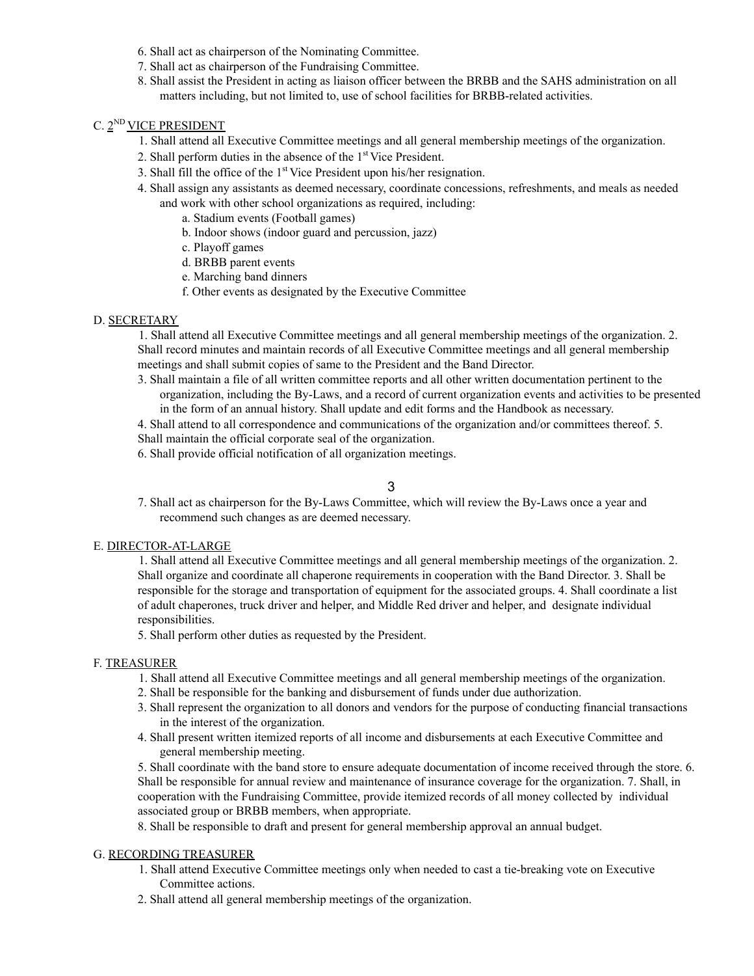- 6. Shall act as chairperson of the Nominating Committee.
- 7. Shall act as chairperson of the Fundraising Committee.
- 8. Shall assist the President in acting as liaison officer between the BRBB and the SAHS administration on all matters including, but not limited to, use of school facilities for BRBB-related activities.

# C. 2<sup>ND</sup> VICE PRESIDENT

- 1. Shall attend all Executive Committee meetings and all general membership meetings of the organization.
- 2. Shall perform duties in the absence of the 1<sup>st</sup> Vice President.
- 3. Shall fill the office of the  $1<sup>st</sup>$  Vice President upon his/her resignation.
- 4. Shall assign any assistants as deemed necessary, coordinate concessions, refreshments, and meals as needed and work with other school organizations as required, including:
	- a. Stadium events (Football games)
	- b. Indoor shows (indoor guard and percussion, jazz)
	- c. Playoff games
	- d. BRBB parent events
	- e. Marching band dinners
	- f. Other events as designated by the Executive Committee

# D. SECRETARY

1. Shall attend all Executive Committee meetings and all general membership meetings of the organization. 2. Shall record minutes and maintain records of all Executive Committee meetings and all general membership meetings and shall submit copies of same to the President and the Band Director.

3. Shall maintain a file of all written committee reports and all other written documentation pertinent to the organization, including the By-Laws, and a record of current organization events and activities to be presented in the form of an annual history. Shall update and edit forms and the Handbook as necessary.

4. Shall attend to all correspondence and communications of the organization and/or committees thereof. 5.

- Shall maintain the official corporate seal of the organization.
- 6. Shall provide official notification of all organization meetings.

# 3

7. Shall act as chairperson for the By-Laws Committee, which will review the By-Laws once a year and recommend such changes as are deemed necessary.

### E. DIRECTOR-AT-LARGE

1. Shall attend all Executive Committee meetings and all general membership meetings of the organization. 2. Shall organize and coordinate all chaperone requirements in cooperation with the Band Director. 3. Shall be responsible for the storage and transportation of equipment for the associated groups. 4. Shall coordinate a list of adult chaperones, truck driver and helper, and Middle Red driver and helper, and designate individual responsibilities.

5. Shall perform other duties as requested by the President.

# F. TREASURER

- 1. Shall attend all Executive Committee meetings and all general membership meetings of the organization.
- 2. Shall be responsible for the banking and disbursement of funds under due authorization.
- 3. Shall represent the organization to all donors and vendors for the purpose of conducting financial transactions in the interest of the organization.
- 4. Shall present written itemized reports of all income and disbursements at each Executive Committee and general membership meeting.

5. Shall coordinate with the band store to ensure adequate documentation of income received through the store. 6. Shall be responsible for annual review and maintenance of insurance coverage for the organization. 7. Shall, in cooperation with the Fundraising Committee, provide itemized records of all money collected by individual associated group or BRBB members, when appropriate.

8. Shall be responsible to draft and present for general membership approval an annual budget.

# G. RECORDING TREASURER

- 1. Shall attend Executive Committee meetings only when needed to cast a tie-breaking vote on Executive Committee actions.
- 2. Shall attend all general membership meetings of the organization.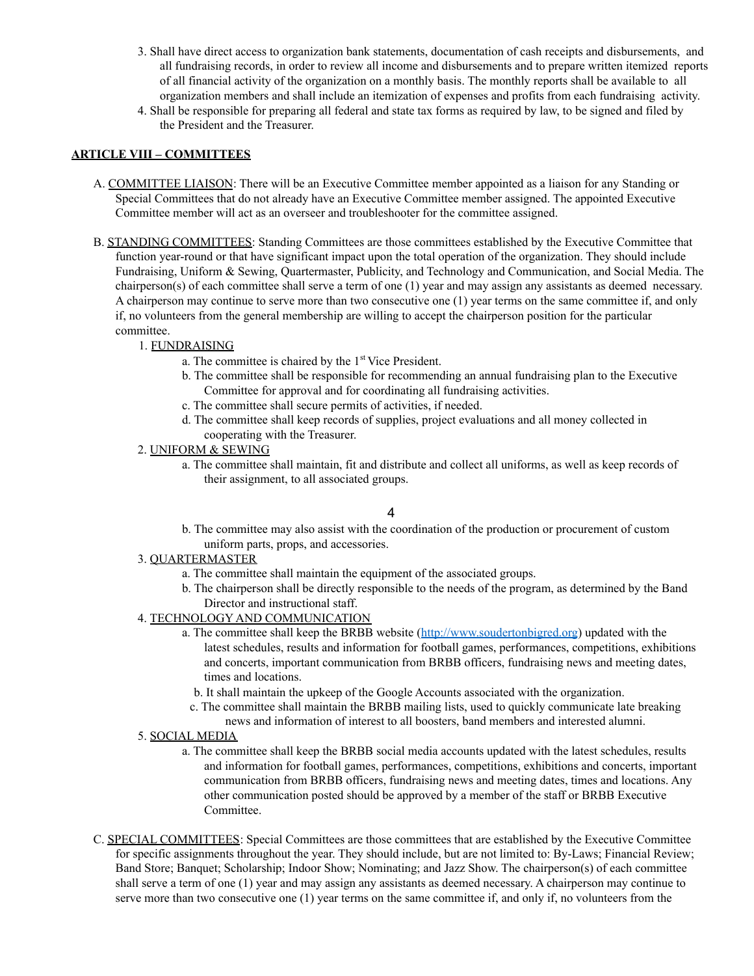- 3. Shall have direct access to organization bank statements, documentation of cash receipts and disbursements, and all fundraising records, in order to review all income and disbursements and to prepare written itemized reports of all financial activity of the organization on a monthly basis. The monthly reports shall be available to all organization members and shall include an itemization of expenses and profits from each fundraising activity.
- 4. Shall be responsible for preparing all federal and state tax forms as required by law, to be signed and filed by the President and the Treasurer.

## **ARTICLE VIII – COMMITTEES**

- A. COMMITTEE LIAISON: There will be an Executive Committee member appointed as a liaison for any Standing or Special Committees that do not already have an Executive Committee member assigned. The appointed Executive Committee member will act as an overseer and troubleshooter for the committee assigned.
- B. STANDING COMMITTEES: Standing Committees are those committees established by the Executive Committee that function year-round or that have significant impact upon the total operation of the organization. They should include Fundraising, Uniform & Sewing, Quartermaster, Publicity, and Technology and Communication, and Social Media. The chairperson(s) of each committee shall serve a term of one (1) year and may assign any assistants as deemed necessary. A chairperson may continue to serve more than two consecutive one (1) year terms on the same committee if, and only if, no volunteers from the general membership are willing to accept the chairperson position for the particular committee.

## 1. FUNDRAISING

- a. The committee is chaired by the 1<sup>st</sup> Vice President.
- b. The committee shall be responsible for recommending an annual fundraising plan to the Executive Committee for approval and for coordinating all fundraising activities.
- c. The committee shall secure permits of activities, if needed.
- d. The committee shall keep records of supplies, project evaluations and all money collected in cooperating with the Treasurer.
- 2. UNIFORM & SEWING
	- a. The committee shall maintain, fit and distribute and collect all uniforms, as well as keep records of their assignment, to all associated groups.

# 4

b. The committee may also assist with the coordination of the production or procurement of custom uniform parts, props, and accessories.

### 3. QUARTERMASTER

- a. The committee shall maintain the equipment of the associated groups.
- b. The chairperson shall be directly responsible to the needs of the program, as determined by the Band Director and instructional staff.
- 4. TECHNOLOGY AND COMMUNICATION
	- a. The committee shall keep the BRBB website (http://www.soudertonbigred.org) updated with the latest schedules, results and information for football games, performances, competitions, exhibitions and concerts, important communication from BRBB officers, fundraising news and meeting dates, times and locations.
		- b. It shall maintain the upkeep of the Google Accounts associated with the organization.
		- c. The committee shall maintain the BRBB mailing lists, used to quickly communicate late breaking news and information of interest to all boosters, band members and interested alumni.
- 5. SOCIAL MEDIA
	- a. The committee shall keep the BRBB social media accounts updated with the latest schedules, results and information for football games, performances, competitions, exhibitions and concerts, important communication from BRBB officers, fundraising news and meeting dates, times and locations. Any other communication posted should be approved by a member of the staff or BRBB Executive Committee.
- C. SPECIAL COMMITTEES: Special Committees are those committees that are established by the Executive Committee for specific assignments throughout the year. They should include, but are not limited to: By-Laws; Financial Review; Band Store; Banquet; Scholarship; Indoor Show; Nominating; and Jazz Show. The chairperson(s) of each committee shall serve a term of one (1) year and may assign any assistants as deemed necessary. A chairperson may continue to serve more than two consecutive one (1) year terms on the same committee if, and only if, no volunteers from the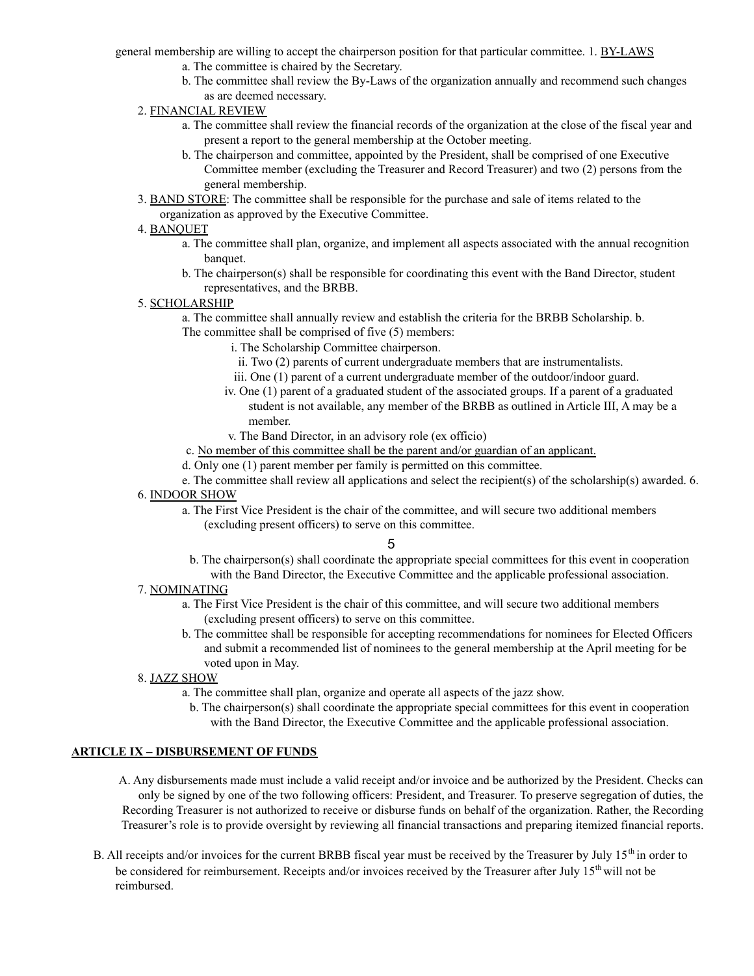general membership are willing to accept the chairperson position for that particular committee. 1. BY-LAWS

- a. The committee is chaired by the Secretary.
- b. The committee shall review the By-Laws of the organization annually and recommend such changes as are deemed necessary.
- 2. FINANCIAL REVIEW
	- a. The committee shall review the financial records of the organization at the close of the fiscal year and present a report to the general membership at the October meeting.
	- b. The chairperson and committee, appointed by the President, shall be comprised of one Executive Committee member (excluding the Treasurer and Record Treasurer) and two (2) persons from the general membership.
- 3. BAND STORE: The committee shall be responsible for the purchase and sale of items related to the
	- organization as approved by the Executive Committee.

## 4. BANQUET

- a. The committee shall plan, organize, and implement all aspects associated with the annual recognition banquet.
- b. The chairperson(s) shall be responsible for coordinating this event with the Band Director, student representatives, and the BRBB.

### 5. SCHOLARSHIP

- a. The committee shall annually review and establish the criteria for the BRBB Scholarship. b. The committee shall be comprised of five (5) members:
	- i. The Scholarship Committee chairperson.
		- ii. Two (2) parents of current undergraduate members that are instrumentalists.
		- iii. One (1) parent of a current undergraduate member of the outdoor/indoor guard.
		- iv. One (1) parent of a graduated student of the associated groups. If a parent of a graduated student is not available, any member of the BRBB as outlined in Article III, A may be a member.
		- v. The Band Director, in an advisory role (ex officio)
	- c. No member of this committee shall be the parent and/or guardian of an applicant.
- d. Only one (1) parent member per family is permitted on this committee.

e. The committee shall review all applications and select the recipient(s) of the scholarship(s) awarded. 6. 6. INDOOR SHOW

a. The First Vice President is the chair of the committee, and will secure two additional members (excluding present officers) to serve on this committee.

#### 5

b. The chairperson(s) shall coordinate the appropriate special committees for this event in cooperation with the Band Director, the Executive Committee and the applicable professional association.

### 7. NOMINATING

- a. The First Vice President is the chair of this committee, and will secure two additional members (excluding present officers) to serve on this committee.
- b. The committee shall be responsible for accepting recommendations for nominees for Elected Officers and submit a recommended list of nominees to the general membership at the April meeting for be voted upon in May.

### 8. JAZZ SHOW

- a. The committee shall plan, organize and operate all aspects of the jazz show.
	- b. The chairperson(s) shall coordinate the appropriate special committees for this event in cooperation with the Band Director, the Executive Committee and the applicable professional association.

### **ARTICLE IX – DISBURSEMENT OF FUNDS**

- A. Any disbursements made must include a valid receipt and/or invoice and be authorized by the President. Checks can only be signed by one of the two following officers: President, and Treasurer. To preserve segregation of duties, the Recording Treasurer is not authorized to receive or disburse funds on behalf of the organization. Rather, the Recording Treasurer's role is to provide oversight by reviewing all financial transactions and preparing itemized financial reports.
- B. All receipts and/or invoices for the current BRBB fiscal year must be received by the Treasurer by July 15<sup>th</sup> in order to be considered for reimbursement. Receipts and/or invoices received by the Treasurer after July 15<sup>th</sup> will not be reimbursed.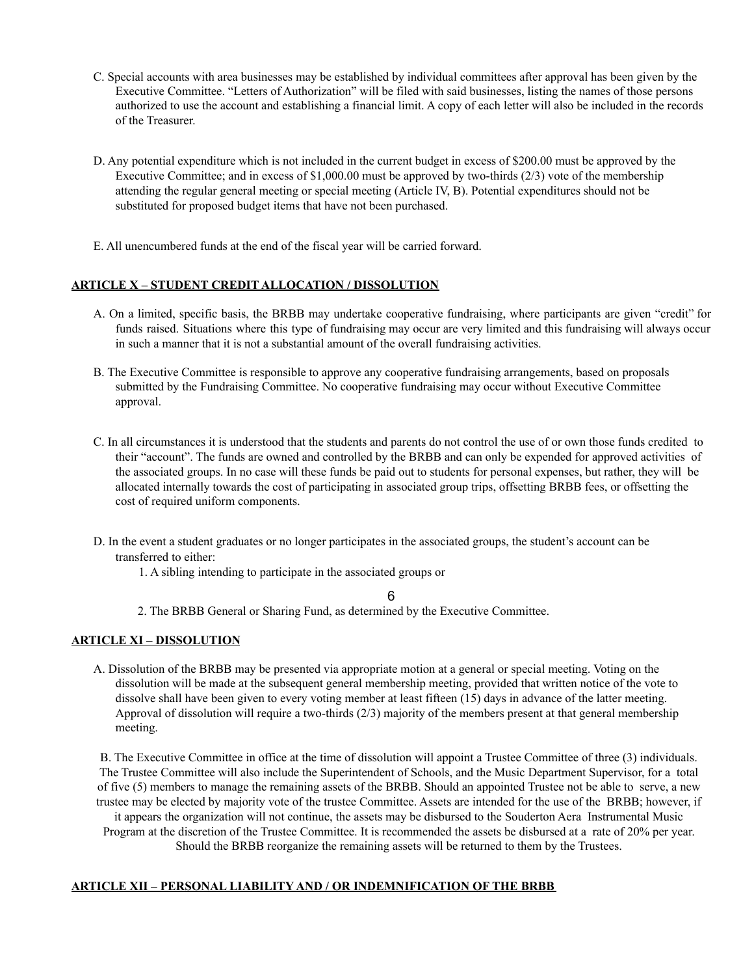- C. Special accounts with area businesses may be established by individual committees after approval has been given by the Executive Committee. "Letters of Authorization" will be filed with said businesses, listing the names of those persons authorized to use the account and establishing a financial limit. A copy of each letter will also be included in the records of the Treasurer.
- D. Any potential expenditure which is not included in the current budget in excess of \$200.00 must be approved by the Executive Committee; and in excess of \$1,000.00 must be approved by two-thirds (2/3) vote of the membership attending the regular general meeting or special meeting (Article IV, B). Potential expenditures should not be substituted for proposed budget items that have not been purchased.
- E. All unencumbered funds at the end of the fiscal year will be carried forward.

# **ARTICLE X – STUDENT CREDIT ALLOCATION / DISSOLUTION**

- A. On a limited, specific basis, the BRBB may undertake cooperative fundraising, where participants are given "credit" for funds raised. Situations where this type of fundraising may occur are very limited and this fundraising will always occur in such a manner that it is not a substantial amount of the overall fundraising activities.
- B. The Executive Committee is responsible to approve any cooperative fundraising arrangements, based on proposals submitted by the Fundraising Committee. No cooperative fundraising may occur without Executive Committee approval.
- C. In all circumstances it is understood that the students and parents do not control the use of or own those funds credited to their "account". The funds are owned and controlled by the BRBB and can only be expended for approved activities of the associated groups. In no case will these funds be paid out to students for personal expenses, but rather, they will be allocated internally towards the cost of participating in associated group trips, offsetting BRBB fees, or offsetting the cost of required uniform components.
- D. In the event a student graduates or no longer participates in the associated groups, the student's account can be transferred to either:
	- 1. A sibling intending to participate in the associated groups or

### 6

2. The BRBB General or Sharing Fund, as determined by the Executive Committee.

### **ARTICLE XI – DISSOLUTION**

A. Dissolution of the BRBB may be presented via appropriate motion at a general or special meeting. Voting on the dissolution will be made at the subsequent general membership meeting, provided that written notice of the vote to dissolve shall have been given to every voting member at least fifteen (15) days in advance of the latter meeting. Approval of dissolution will require a two-thirds (2/3) majority of the members present at that general membership meeting.

B. The Executive Committee in office at the time of dissolution will appoint a Trustee Committee of three (3) individuals. The Trustee Committee will also include the Superintendent of Schools, and the Music Department Supervisor, for a total of five (5) members to manage the remaining assets of the BRBB. Should an appointed Trustee not be able to serve, a new trustee may be elected by majority vote of the trustee Committee. Assets are intended for the use of the BRBB; however, if it appears the organization will not continue, the assets may be disbursed to the Souderton Aera Instrumental Music Program at the discretion of the Trustee Committee. It is recommended the assets be disbursed at a rate of 20% per year. Should the BRBB reorganize the remaining assets will be returned to them by the Trustees.

### **ARTICLE XII – PERSONAL LIABILITY AND / OR INDEMNIFICATION OF THE BRBB**